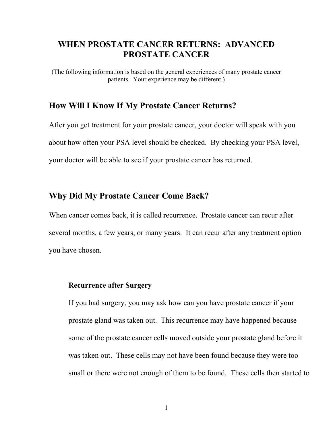# **WHEN PROSTATE CANCER RETURNS: ADVANCED PROSTATE CANCER**

(The following information is based on the general experiences of many prostate cancer patients. Your experience may be different.)

## **How Will I Know If My Prostate Cancer Returns?**

After you get treatment for your prostate cancer, your doctor will speak with you about how often your PSA level should be checked. By checking your PSA level, your doctor will be able to see if your prostate cancer has returned.

## **Why Did My Prostate Cancer Come Back?**

When cancer comes back, it is called recurrence. Prostate cancer can recur after several months, a few years, or many years. It can recur after any treatment option you have chosen.

#### **Recurrence after Surgery**

If you had surgery, you may ask how can you have prostate cancer if your prostate gland was taken out. This recurrence may have happened because some of the prostate cancer cells moved outside your prostate gland before it was taken out. These cells may not have been found because they were too small or there were not enough of them to be found. These cells then started to

1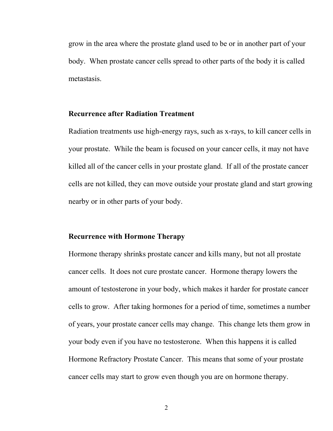grow in the area where the prostate gland used to be or in another part of your body. When prostate cancer cells spread to other parts of the body it is called metastasis.

#### **Recurrence after Radiation Treatment**

Radiation treatments use high-energy rays, such as x-rays, to kill cancer cells in your prostate. While the beam is focused on your cancer cells, it may not have killed all of the cancer cells in your prostate gland. If all of the prostate cancer cells are not killed, they can move outside your prostate gland and start growing nearby or in other parts of your body.

#### **Recurrence with Hormone Therapy**

Hormone therapy shrinks prostate cancer and kills many, but not all prostate cancer cells. It does not cure prostate cancer. Hormone therapy lowers the amount of testosterone in your body, which makes it harder for prostate cancer cells to grow. After taking hormones for a period of time, sometimes a number of years, your prostate cancer cells may change. This change lets them grow in your body even if you have no testosterone. When this happens it is called Hormone Refractory Prostate Cancer. This means that some of your prostate cancer cells may start to grow even though you are on hormone therapy.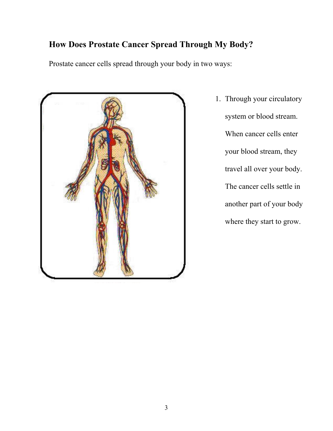# **How Does Prostate Cancer Spread Through My Body?**

Prostate cancer cells spread through your body in two ways:



1. Through your circulatory system or blood stream. When cancer cells enter your blood stream, they travel all over your body. The cancer cells settle in another part of your body where they start to grow.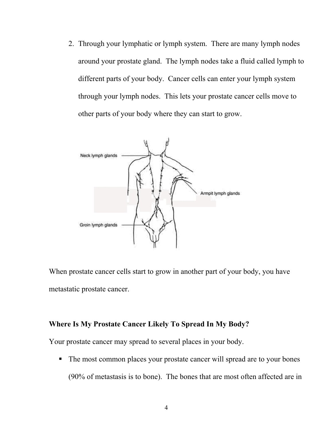2. Through your lymphatic or lymph system. There are many lymph nodes around your prostate gland. The lymph nodes take a fluid called lymph to different parts of your body. Cancer cells can enter your lymph system through your lymph nodes. This lets your prostate cancer cells move to other parts of your body where they can start to grow.



When prostate cancer cells start to grow in another part of your body, you have metastatic prostate cancer.

#### **Where Is My Prostate Cancer Likely To Spread In My Body?**

Your prostate cancer may spread to several places in your body.

• The most common places your prostate cancer will spread are to your bones (90% of metastasis is to bone). The bones that are most often affected are in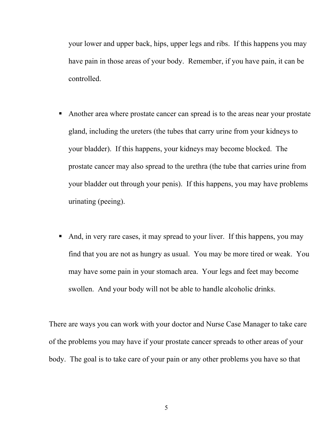your lower and upper back, hips, upper legs and ribs. If this happens you may have pain in those areas of your body. Remember, if you have pain, it can be controlled.

- Another area where prostate cancer can spread is to the areas near your prostate gland, including the ureters (the tubes that carry urine from your kidneys to your bladder). If this happens, your kidneys may become blocked. The prostate cancer may also spread to the urethra (the tube that carries urine from your bladder out through your penis). If this happens, you may have problems urinating (peeing).
- And, in very rare cases, it may spread to your liver. If this happens, you may find that you are not as hungry as usual. You may be more tired or weak. You may have some pain in your stomach area. Your legs and feet may become swollen. And your body will not be able to handle alcoholic drinks.

There are ways you can work with your doctor and Nurse Case Manager to take care of the problems you may have if your prostate cancer spreads to other areas of your body. The goal is to take care of your pain or any other problems you have so that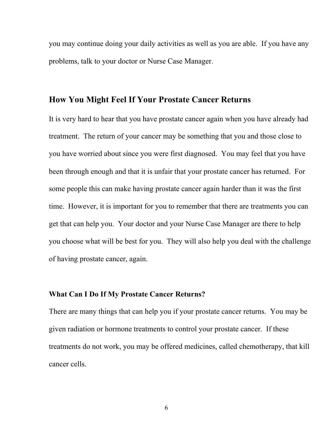you may continue doing your daily activities as well as you are able. If you have any problems, talk to your doctor or Nurse Case Manager.

## **How You Might Feel If Your Prostate Cancer Returns**

It is very hard to hear that you have prostate cancer again when you have already had treatment. The return of your cancer may be something that you and those close to you have worried about since you were first diagnosed. You may feel that you have been through enough and that it is unfair that your prostate cancer has returned. For some people this can make having prostate cancer again harder than it was the first time. However, it is important for you to remember that there are treatments you can get that can help you. Your doctor and your Nurse Case Manager are there to help you choose what will be best for you. They will also help you deal with the challenge of having prostate cancer, again.

#### **What Can I Do If My Prostate Cancer Returns?**

There are many things that can help you if your prostate cancer returns. You may be given radiation or hormone treatments to control your prostate cancer. If these treatments do not work, you may be offered medicines, called chemotherapy, that kill cancer cells.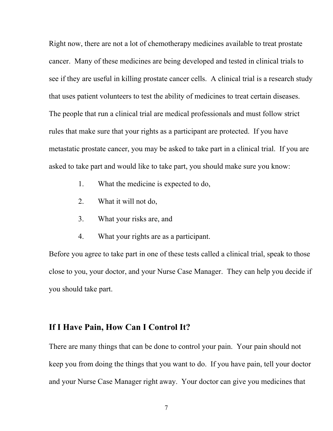Right now, there are not a lot of chemotherapy medicines available to treat prostate cancer. Many of these medicines are being developed and tested in clinical trials to see if they are useful in killing prostate cancer cells. A clinical trial is a research study that uses patient volunteers to test the ability of medicines to treat certain diseases. The people that run a clinical trial are medical professionals and must follow strict rules that make sure that your rights as a participant are protected. If you have metastatic prostate cancer, you may be asked to take part in a clinical trial. If you are asked to take part and would like to take part, you should make sure you know:

- 1. What the medicine is expected to do,
- 2. What it will not do,
- 3. What your risks are, and
- 4. What your rights are as a participant.

Before you agree to take part in one of these tests called a clinical trial, speak to those close to you, your doctor, and your Nurse Case Manager. They can help you decide if you should take part.

### **If I Have Pain, How Can I Control It?**

There are many things that can be done to control your pain. Your pain should not keep you from doing the things that you want to do. If you have pain, tell your doctor and your Nurse Case Manager right away. Your doctor can give you medicines that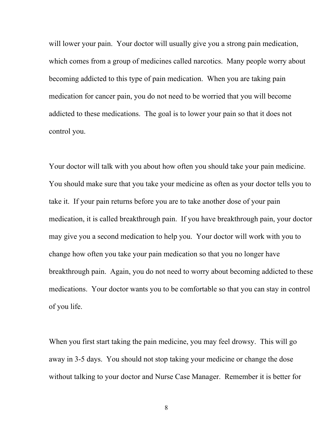will lower your pain. Your doctor will usually give you a strong pain medication, which comes from a group of medicines called narcotics. Many people worry about becoming addicted to this type of pain medication. When you are taking pain medication for cancer pain, you do not need to be worried that you will become addicted to these medications. The goal is to lower your pain so that it does not control you.

Your doctor will talk with you about how often you should take your pain medicine. You should make sure that you take your medicine as often as your doctor tells you to take it. If your pain returns before you are to take another dose of your pain medication, it is called breakthrough pain. If you have breakthrough pain, your doctor may give you a second medication to help you. Your doctor will work with you to change how often you take your pain medication so that you no longer have breakthrough pain. Again, you do not need to worry about becoming addicted to these medications. Your doctor wants you to be comfortable so that you can stay in control of you life.

When you first start taking the pain medicine, you may feel drowsy. This will go away in 3-5 days. You should not stop taking your medicine or change the dose without talking to your doctor and Nurse Case Manager. Remember it is better for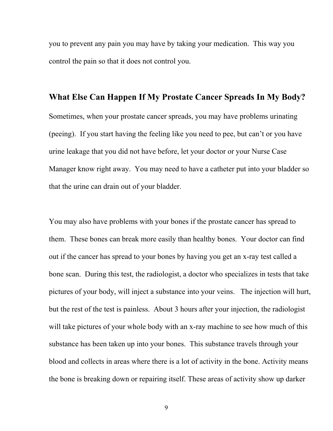you to prevent any pain you may have by taking your medication. This way you control the pain so that it does not control you.

# **What Else Can Happen If My Prostate Cancer Spreads In My Body?**

Sometimes, when your prostate cancer spreads, you may have problems urinating (peeing). If you start having the feeling like you need to pee, but can't or you have urine leakage that you did not have before, let your doctor or your Nurse Case Manager know right away. You may need to have a catheter put into your bladder so that the urine can drain out of your bladder.

You may also have problems with your bones if the prostate cancer has spread to them. These bones can break more easily than healthy bones. Your doctor can find out if the cancer has spread to your bones by having you get an x-ray test called a bone scan. During this test, the radiologist, a doctor who specializes in tests that take pictures of your body, will inject a substance into your veins. The injection will hurt, but the rest of the test is painless. About 3 hours after your injection, the radiologist will take pictures of your whole body with an x-ray machine to see how much of this substance has been taken up into your bones. This substance travels through your blood and collects in areas where there is a lot of activity in the bone. Activity means the bone is breaking down or repairing itself. These areas of activity show up darker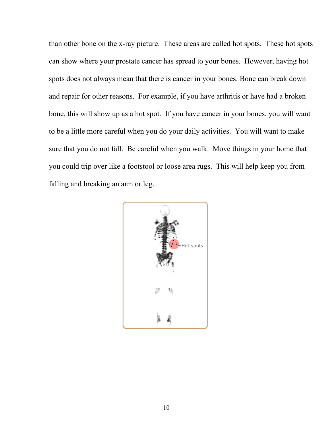than other bone on the x-ray picture. These areas are called hot spots. These hot spots can show where your prostate cancer has spread to your bones. However, having hot spots does not always mean that there is cancer in your bones. Bone can break down and repair for other reasons. For example, if you have arthritis or have had a broken bone, this will show up as a hot spot. If you have cancer in your bones, you will want to be a little more careful when you do your daily activities. You will want to make sure that you do not fall. Be careful when you walk. Move things in your home that you could trip over like a footstool or loose area rugs. This will help keep you from falling and breaking an arm or leg.

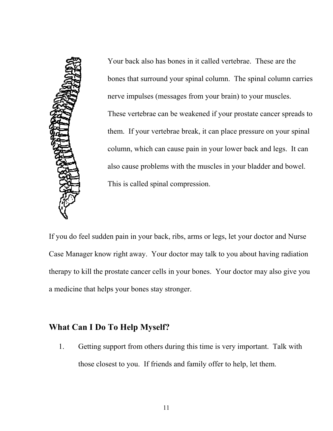

Your back also has bones in it called vertebrae. These are the bones that surround your spinal column. The spinal column carries nerve impulses (messages from your brain) to your muscles. These vertebrae can be weakened if your prostate cancer spreads to them. If your vertebrae break, it can place pressure on your spinal column, which can cause pain in your lower back and legs. It can also cause problems with the muscles in your bladder and bowel. This is called spinal compression.

If you do feel sudden pain in your back, ribs, arms or legs, let your doctor and Nurse Case Manager know right away. Your doctor may talk to you about having radiation therapy to kill the prostate cancer cells in your bones. Your doctor may also give you a medicine that helps your bones stay stronger.

# **What Can I Do To Help Myself?**

1. Getting support from others during this time is very important. Talk with those closest to you. If friends and family offer to help, let them.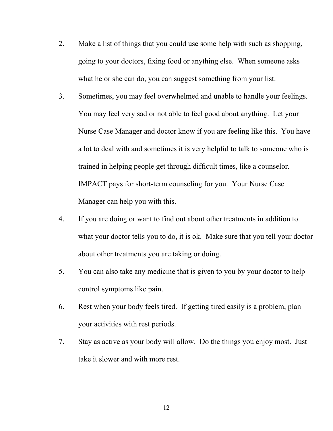- 2. Make a list of things that you could use some help with such as shopping, going to your doctors, fixing food or anything else. When someone asks what he or she can do, you can suggest something from your list.
- 3. Sometimes, you may feel overwhelmed and unable to handle your feelings. You may feel very sad or not able to feel good about anything. Let your Nurse Case Manager and doctor know if you are feeling like this. You have a lot to deal with and sometimes it is very helpful to talk to someone who is trained in helping people get through difficult times, like a counselor. IMPACT pays for short-term counseling for you. Your Nurse Case Manager can help you with this.
- 4. If you are doing or want to find out about other treatments in addition to what your doctor tells you to do, it is ok. Make sure that you tell your doctor about other treatments you are taking or doing.
- 5. You can also take any medicine that is given to you by your doctor to help control symptoms like pain.
- 6. Rest when your body feels tired. If getting tired easily is a problem, plan your activities with rest periods.
- 7. Stay as active as your body will allow. Do the things you enjoy most. Just take it slower and with more rest.